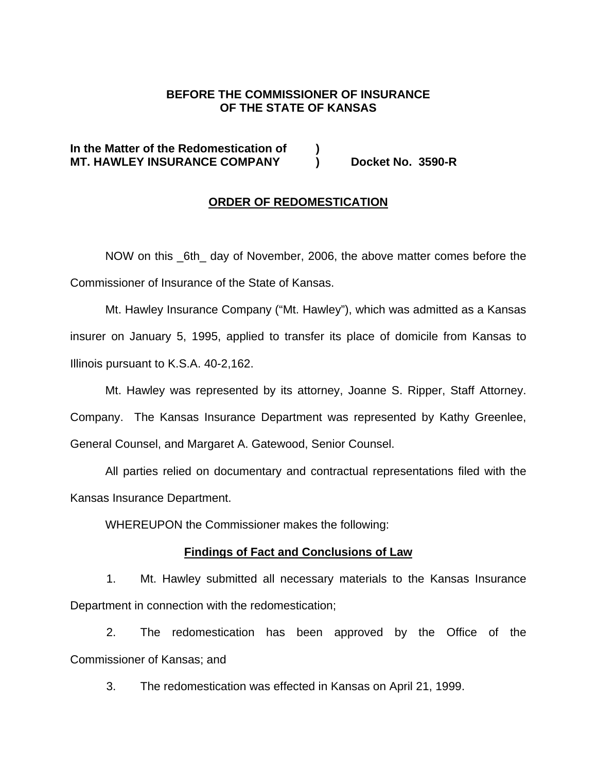## **BEFORE THE COMMISSIONER OF INSURANCE OF THE STATE OF KANSAS**

# **In the Matter of the Redomestication of ) MT. HAWLEY INSURANCE COMPANY ) Docket No. 3590-R**

### **ORDER OF REDOMESTICATION**

 NOW on this \_6th\_ day of November, 2006, the above matter comes before the Commissioner of Insurance of the State of Kansas.

Mt. Hawley Insurance Company ("Mt. Hawley"), which was admitted as a Kansas insurer on January 5, 1995, applied to transfer its place of domicile from Kansas to Illinois pursuant to K.S.A. 40-2,162.

Mt. Hawley was represented by its attorney, Joanne S. Ripper, Staff Attorney. Company. The Kansas Insurance Department was represented by Kathy Greenlee, General Counsel, and Margaret A. Gatewood, Senior Counsel.

All parties relied on documentary and contractual representations filed with the Kansas Insurance Department.

WHEREUPON the Commissioner makes the following:

### **Findings of Fact and Conclusions of Law**

1. Mt. Hawley submitted all necessary materials to the Kansas Insurance Department in connection with the redomestication;

2. The redomestication has been approved by the Office of the Commissioner of Kansas; and

3. The redomestication was effected in Kansas on April 21, 1999.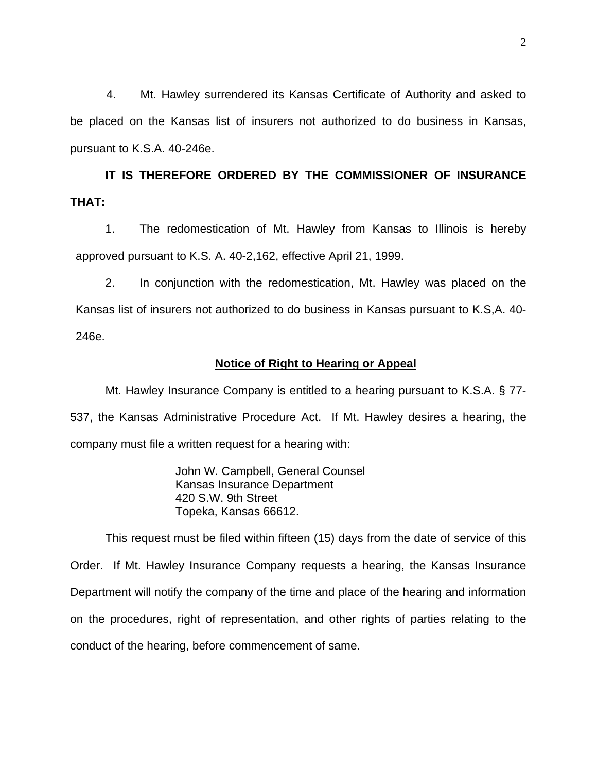4. Mt. Hawley surrendered its Kansas Certificate of Authority and asked to be placed on the Kansas list of insurers not authorized to do business in Kansas, pursuant to K.S.A. 40-246e.

**IT IS THEREFORE ORDERED BY THE COMMISSIONER OF INSURANCE THAT:** 

1. The redomestication of Mt. Hawley from Kansas to Illinois is hereby approved pursuant to K.S. A. 40-2,162, effective April 21, 1999.

2. In conjunction with the redomestication, Mt. Hawley was placed on the Kansas list of insurers not authorized to do business in Kansas pursuant to K.S,A. 40- 246e.

#### **Notice of Right to Hearing or Appeal**

Mt. Hawley Insurance Company is entitled to a hearing pursuant to K.S.A. § 77- 537, the Kansas Administrative Procedure Act. If Mt. Hawley desires a hearing, the company must file a written request for a hearing with:

> John W. Campbell, General Counsel Kansas Insurance Department 420 S.W. 9th Street Topeka, Kansas 66612.

This request must be filed within fifteen (15) days from the date of service of this Order. If Mt. Hawley Insurance Company requests a hearing, the Kansas Insurance Department will notify the company of the time and place of the hearing and information on the procedures, right of representation, and other rights of parties relating to the conduct of the hearing, before commencement of same.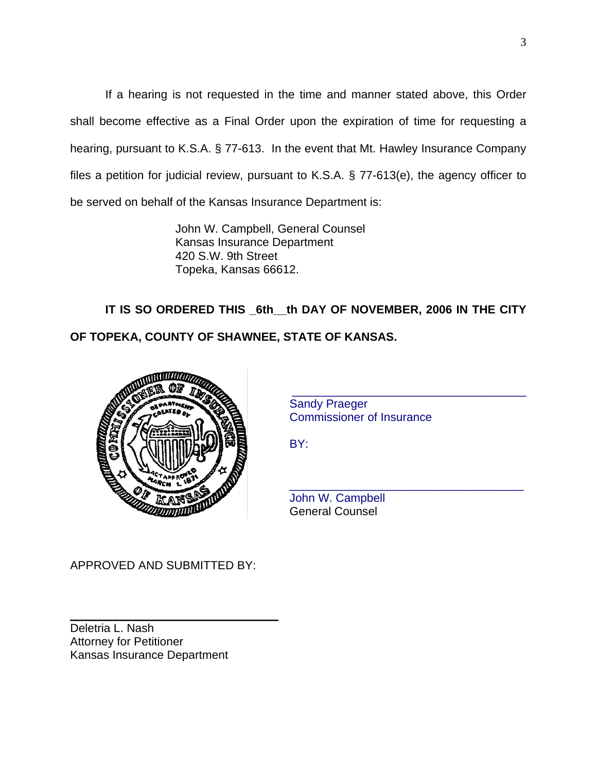If a hearing is not requested in the time and manner stated above, this Order shall become effective as a Final Order upon the expiration of time for requesting a hearing, pursuant to K.S.A. § 77-613. In the event that Mt. Hawley Insurance Company files a petition for judicial review, pursuant to K.S.A. § 77-613(e), the agency officer to be served on behalf of the Kansas Insurance Department is:

> John W. Campbell, General Counsel Kansas Insurance Department 420 S.W. 9th Street Topeka, Kansas 66612.

**IT IS SO ORDERED THIS \_6th\_\_th DAY OF NOVEMBER, 2006 IN THE CITY OF TOPEKA, COUNTY OF SHAWNEE, STATE OF KANSAS.** 



 Sandy Praeger Commissioner of Insurance

\_\_\_\_\_\_\_\_\_\_\_\_\_\_\_\_\_\_\_\_\_\_\_\_\_\_\_\_\_\_\_\_\_\_\_\_

 John W. Campbell General Counsel

APPROVED AND SUBMITTED BY:

\_\_\_\_\_\_\_\_\_\_\_\_\_\_\_\_\_\_\_\_\_\_\_\_\_\_\_\_\_\_\_\_

Deletria L. Nash Attorney for Petitioner Kansas Insurance Department